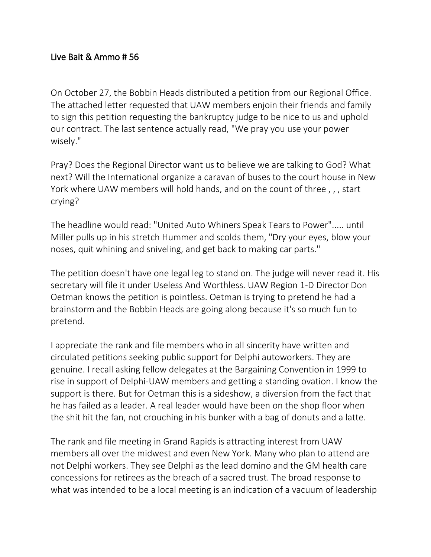## Live Bait & Ammo # 56

On October 27, the Bobbin Heads distributed a petition from our Regional Office. The attached letter requested that UAW members enjoin their friends and family to sign this petition requesting the bankruptcy judge to be nice to us and uphold our contract. The last sentence actually read, "We pray you use your power wisely."

Pray? Does the Regional Director want us to believe we are talking to God? What next? Will the International organize a caravan of buses to the court house in New York where UAW members will hold hands, and on the count of three , , , start crying?

The headline would read: "United Auto Whiners Speak Tears to Power"..... until Miller pulls up in his stretch Hummer and scolds them, "Dry your eyes, blow your noses, quit whining and sniveling, and get back to making car parts."

The petition doesn't have one legal leg to stand on. The judge will never read it. His secretary will file it under Useless And Worthless. UAW Region 1-D Director Don Oetman knows the petition is pointless. Oetman is trying to pretend he had a brainstorm and the Bobbin Heads are going along because it's so much fun to pretend.

I appreciate the rank and file members who in all sincerity have written and circulated petitions seeking public support for Delphi autoworkers. They are genuine. I recall asking fellow delegates at the Bargaining Convention in 1999 to rise in support of Delphi-UAW members and getting a standing ovation. I know the support is there. But for Oetman this is a sideshow, a diversion from the fact that he has failed as a leader. A real leader would have been on the shop floor when the shit hit the fan, not crouching in his bunker with a bag of donuts and a latte.

The rank and file meeting in Grand Rapids is attracting interest from UAW members all over the midwest and even New York. Many who plan to attend are not Delphi workers. They see Delphi as the lead domino and the GM health care concessions for retirees as the breach of a sacred trust. The broad response to what was intended to be a local meeting is an indication of a vacuum of leadership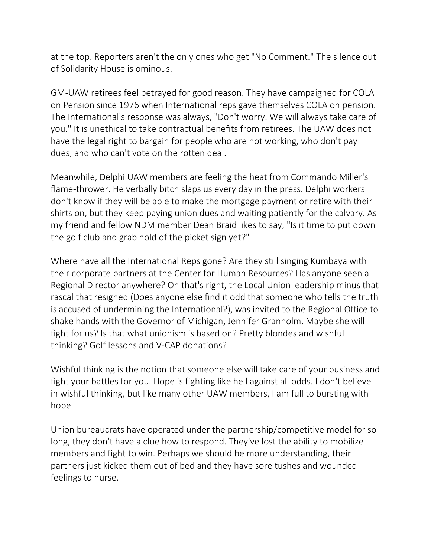at the top. Reporters aren't the only ones who get "No Comment." The silence out of Solidarity House is ominous.

GM-UAW retirees feel betrayed for good reason. They have campaigned for COLA on Pension since 1976 when International reps gave themselves COLA on pension. The International's response was always, "Don't worry. We will always take care of you." It is unethical to take contractual benefits from retirees. The UAW does not have the legal right to bargain for people who are not working, who don't pay dues, and who can't vote on the rotten deal.

Meanwhile, Delphi UAW members are feeling the heat from Commando Miller's flame-thrower. He verbally bitch slaps us every day in the press. Delphi workers don't know if they will be able to make the mortgage payment or retire with their shirts on, but they keep paying union dues and waiting patiently for the calvary. As my friend and fellow NDM member Dean Braid likes to say, "Is it time to put down the golf club and grab hold of the picket sign yet?"

Where have all the International Reps gone? Are they still singing Kumbaya with their corporate partners at the Center for Human Resources? Has anyone seen a Regional Director anywhere? Oh that's right, the Local Union leadership minus that rascal that resigned (Does anyone else find it odd that someone who tells the truth is accused of undermining the International?), was invited to the Regional Office to shake hands with the Governor of Michigan, Jennifer Granholm. Maybe she will fight for us? Is that what unionism is based on? Pretty blondes and wishful thinking? Golf lessons and V-CAP donations?

Wishful thinking is the notion that someone else will take care of your business and fight your battles for you. Hope is fighting like hell against all odds. I don't believe in wishful thinking, but like many other UAW members, I am full to bursting with hope.

Union bureaucrats have operated under the partnership/competitive model for so long, they don't have a clue how to respond. They've lost the ability to mobilize members and fight to win. Perhaps we should be more understanding, their partners just kicked them out of bed and they have sore tushes and wounded feelings to nurse.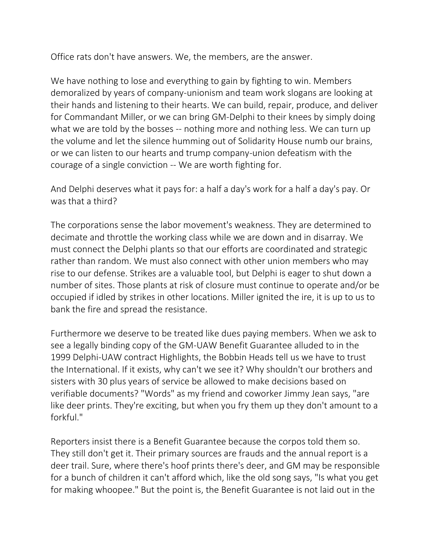Office rats don't have answers. We, the members, are the answer.

We have nothing to lose and everything to gain by fighting to win. Members demoralized by years of company-unionism and team work slogans are looking at their hands and listening to their hearts. We can build, repair, produce, and deliver for Commandant Miller, or we can bring GM-Delphi to their knees by simply doing what we are told by the bosses -- nothing more and nothing less. We can turn up the volume and let the silence humming out of Solidarity House numb our brains, or we can listen to our hearts and trump company-union defeatism with the courage of a single conviction -- We are worth fighting for.

And Delphi deserves what it pays for: a half a day's work for a half a day's pay. Or was that a third?

The corporations sense the labor movement's weakness. They are determined to decimate and throttle the working class while we are down and in disarray. We must connect the Delphi plants so that our efforts are coordinated and strategic rather than random. We must also connect with other union members who may rise to our defense. Strikes are a valuable tool, but Delphi is eager to shut down a number of sites. Those plants at risk of closure must continue to operate and/or be occupied if idled by strikes in other locations. Miller ignited the ire, it is up to us to bank the fire and spread the resistance.

Furthermore we deserve to be treated like dues paying members. When we ask to see a legally binding copy of the GM-UAW Benefit Guarantee alluded to in the 1999 Delphi-UAW contract Highlights, the Bobbin Heads tell us we have to trust the International. If it exists, why can't we see it? Why shouldn't our brothers and sisters with 30 plus years of service be allowed to make decisions based on verifiable documents? "Words" as my friend and coworker Jimmy Jean says, "are like deer prints. They're exciting, but when you fry them up they don't amount to a forkful."

Reporters insist there is a Benefit Guarantee because the corpos told them so. They still don't get it. Their primary sources are frauds and the annual report is a deer trail. Sure, where there's hoof prints there's deer, and GM may be responsible for a bunch of children it can't afford which, like the old song says, "Is what you get for making whoopee." But the point is, the Benefit Guarantee is not laid out in the